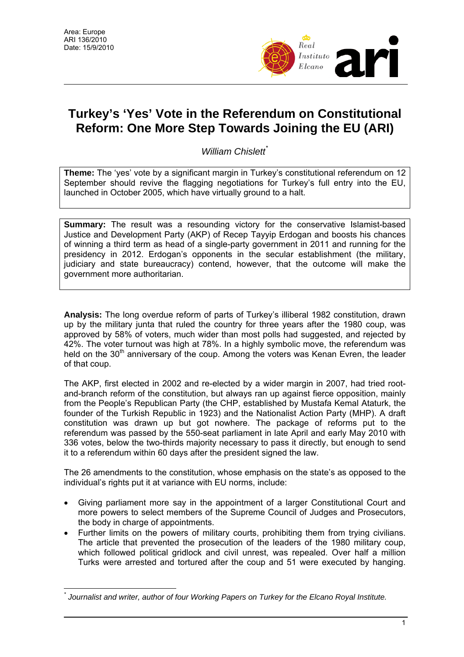

## **Turkey's 'Yes' Vote in the Referendum on Constitutional Reform: One More Step Towards Joining the EU (ARI)**

*William Chislett*[\\*](#page-0-0)

**Theme:** The 'yes' vote by a significant margin in Turkey's constitutional referendum on 12 September should revive the flagging negotiations for Turkey's full entry into the EU, launched in October 2005, which have virtually ground to a halt.

**Summary:** The result was a resounding victory for the conservative Islamist-based Justice and Development Party (AKP) of Recep Tayyip Erdogan and boosts his chances of winning a third term as head of a single-party government in 2011 and running for the presidency in 2012. Erdogan's opponents in the secular establishment (the military, judiciary and state bureaucracy) contend, however, that the outcome will make the government more authoritarian.

**Analysis:** The long overdue reform of parts of Turkey's illiberal 1982 constitution, drawn up by the military junta that ruled the country for three years after the 1980 coup, was approved by 58% of voters, much wider than most polls had suggested, and rejected by 42%. The voter turnout was high at 78%. In a highly symbolic move, the referendum was held on the 30<sup>th</sup> anniversary of the coup. Among the voters was Kenan Evren, the leader of that coup.

The AKP, first elected in 2002 and re-elected by a wider margin in 2007, had tried rootand-branch reform of the constitution, but always ran up against fierce opposition, mainly from the People's Republican Party (the CHP, established by Mustafa Kemal Ataturk, the founder of the Turkish Republic in 1923) and the Nationalist Action Party (MHP). A draft constitution was drawn up but got nowhere. The package of reforms put to the referendum was passed by the 550-seat parliament in late April and early May 2010 with 336 votes, below the two-thirds majority necessary to pass it directly, but enough to send it to a referendum within 60 days after the president signed the law.

The 26 amendments to the constitution, whose emphasis on the state's as opposed to the individual's rights put it at variance with EU norms, include:

- Giving parliament more say in the appointment of a larger Constitutional Court and more powers to select members of the Supreme Council of Judges and Prosecutors, the body in charge of appointments.
- Further limits on the powers of military courts, prohibiting them from trying civilians. The article that prevented the prosecution of the leaders of the 1980 military coup, which followed political gridlock and civil unrest, was repealed. Over half a million Turks were arrested and tortured after the coup and 51 were executed by hanging.

<span id="page-0-0"></span> $\overline{a}$ *\* Journalist and writer, author of four Working Papers on Turkey for the Elcano Royal Institute.*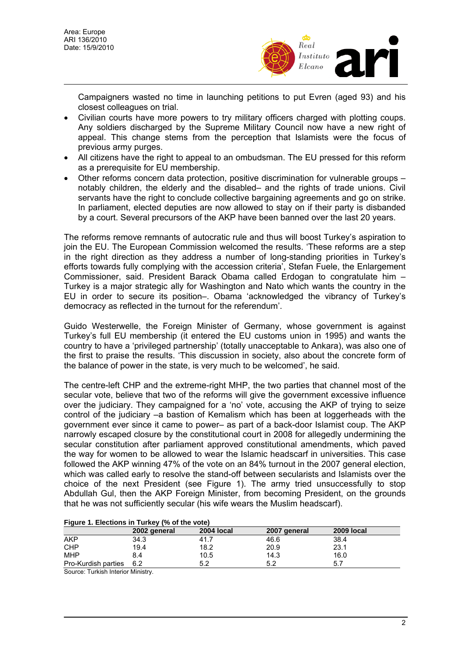

Campaigners wasted no time in launching petitions to put Evren (aged 93) and his closest colleagues on trial.

- Civilian courts have more powers to try military officers charged with plotting coups. Any soldiers discharged by the Supreme Military Council now have a new right of appeal. This change stems from the perception that Islamists were the focus of previous army purges.
- All citizens have the right to appeal to an ombudsman. The EU pressed for this reform as a prerequisite for EU membership.
- Other reforms concern data protection, positive discrimination for vulnerable groups notably children, the elderly and the disabled– and the rights of trade unions. Civil servants have the right to conclude collective bargaining agreements and go on strike. In parliament, elected deputies are now allowed to stay on if their party is disbanded by a court. Several precursors of the AKP have been banned over the last 20 years.

The reforms remove remnants of autocratic rule and thus will boost Turkey's aspiration to join the EU. The European Commission welcomed the results. 'These reforms are a step in the right direction as they address a number of long-standing priorities in Turkey's efforts towards fully complying with the accession criteria', Stefan Fuele, the Enlargement Commissioner, said. President Barack Obama called Erdogan to congratulate him – Turkey is a major strategic ally for Washington and Nato which wants the country in the EU in order to secure its position–. Obama 'acknowledged the vibrancy of Turkey's democracy as reflected in the turnout for the referendum'.

Guido Westerwelle, the Foreign Minister of Germany, whose government is against Turkey's full EU membership (it entered the EU customs union in 1995) and wants the country to have a 'privileged partnership' (totally unacceptable to Ankara), was also one of the first to praise the results. 'This discussion in society, also about the concrete form of the balance of power in the state, is very much to be welcomed', he said.

The centre-left CHP and the extreme-right MHP, the two parties that channel most of the secular vote, believe that two of the reforms will give the government excessive influence over the judiciary. They campaigned for a 'no' vote, accusing the AKP of trying to seize control of the judiciary –a bastion of Kemalism which has been at loggerheads with the government ever since it came to power– as part of a back-door Islamist coup. The AKP narrowly escaped closure by the constitutional court in 2008 for allegedly undermining the secular constitution after parliament approved constitutional amendments, which paved the way for women to be allowed to wear the Islamic headscarf in universities. This case followed the AKP winning 47% of the vote on an 84% turnout in the 2007 general election, which was called early to resolve the stand-off between secularists and Islamists over the choice of the next President (see Figure 1). The army tried unsuccessfully to stop Abdullah Gul, then the AKP Foreign Minister, from becoming President, on the grounds that he was not sufficiently secular (his wife wears the Muslim headscarf).

| Figure 1. Elections in Turkey (% of the vote) |              |            |              |            |
|-----------------------------------------------|--------------|------------|--------------|------------|
|                                               | 2002 general | 2004 local | 2007 general | 2009 local |
| AKP                                           | 34.3         | 41.7       | 46.6         | 38.4       |
| <b>CHP</b>                                    | 19.4         | 18.2       | 20.9         | 23.1       |
| MHP                                           | 8.4          | 10.5       | 14.3         | 16.0       |
| Pro-Kurdish parties                           | 6.2          | 5.2        | 5.2          | 5.7        |

## **Figure 1. Elections in Turkey (% of the vote)**

Source: Turkish Interior Ministry.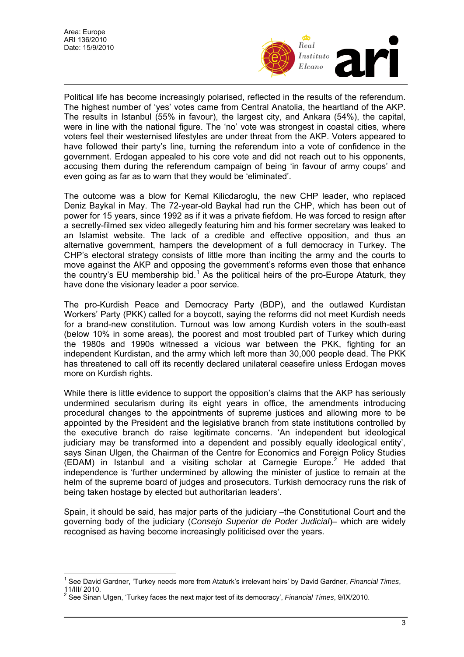$\overline{a}$ 



Political life has become increasingly polarised, reflected in the results of the referendum. The highest number of 'yes' votes came from Central Anatolia, the heartland of the AKP. The results in Istanbul (55% in favour), the largest city, and Ankara (54%), the capital, were in line with the national figure. The 'no' vote was strongest in coastal cities, where voters feel their westernised lifestyles are under threat from the AKP. Voters appeared to have followed their party's line, turning the referendum into a vote of confidence in the government. Erdogan appealed to his core vote and did not reach out to his opponents, accusing them during the referendum campaign of being 'in favour of army coups' and even going as far as to warn that they would be 'eliminated'.

The outcome was a blow for Kemal Kilicdaroglu, the new CHP leader, who replaced Deniz Baykal in May. The 72-year-old Baykal had run the CHP, which has been out of power for 15 years, since 1992 as if it was a private fiefdom. He was forced to resign after a secretly-filmed sex video allegedly featuring him and his former secretary was leaked to an Islamist website. The lack of a credible and effective opposition, and thus an alternative government, hampers the development of a full democracy in Turkey. The CHP's electoral strategy consists of little more than inciting the army and the courts to move against the AKP and opposing the government's reforms even those that enhance the country's EU membership bid.<sup>[1](#page-2-0)</sup> As the political heirs of the pro-Europe Ataturk, they have done the visionary leader a poor service.

The pro-Kurdish Peace and Democracy Party (BDP), and the outlawed Kurdistan Workers' Party (PKK) called for a boycott, saying the reforms did not meet Kurdish needs for a brand-new constitution. Turnout was low among Kurdish voters in the south-east (below 10% in some areas), the poorest and most troubled part of Turkey which during the 1980s and 1990s witnessed a vicious war between the PKK, fighting for an independent Kurdistan, and the army which left more than 30,000 people dead. The PKK has threatened to call off its recently declared unilateral ceasefire unless Erdogan moves more on Kurdish rights.

While there is little evidence to support the opposition's claims that the AKP has seriously undermined secularism during its eight years in office, the amendments introducing procedural changes to the appointments of supreme justices and allowing more to be appointed by the President and the legislative branch from state institutions controlled by the executive branch do raise legitimate concerns. 'An independent but ideological judiciary may be transformed into a dependent and possibly equally ideological entity', says Sinan Ulgen, the Chairman of the Centre for Economics and Foreign Policy Studies (EDAM) in Istanbul and a visiting scholar at Carnegie Europe.<sup>[2](#page-2-1)</sup> He added that independence is 'further undermined by allowing the minister of justice to remain at the helm of the supreme board of judges and prosecutors. Turkish democracy runs the risk of being taken hostage by elected but authoritarian leaders'.

Spain, it should be said, has major parts of the judiciary –the Constitutional Court and the governing body of the judiciary (*Consejo Superior de Poder Judicial*)– which are widely recognised as having become increasingly politicised over the years.

<span id="page-2-0"></span><sup>1</sup> See David Gardner, 'Turkey needs more from Ataturk's irrelevant heirs' by David Gardner, *Financial Times*, 11/III/ 2010.

<span id="page-2-1"></span><sup>2</sup> See Sinan Ulgen, 'Turkey faces the next major test of its democracy', *Financial Times*, 9/IX/2010.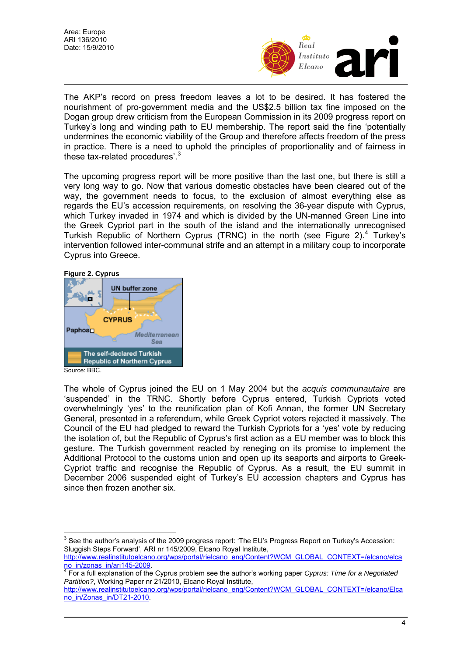

The AKP's record on press freedom leaves a lot to be desired. It has fostered the nourishment of pro-government media and the US\$2.5 billion tax fine imposed on the Dogan group drew criticism from the European Commission in its 2009 progress report on Turkey's long and winding path to EU membership. The report said the fine 'potentially undermines the economic viability of the Group and therefore affects freedom of the press in practice. There is a need to uphold the principles of proportionality and of fairness in these tax-related procedures<sup>'.[3](#page-3-0)</sup>

The upcoming progress report will be more positive than the last one, but there is still a very long way to go. Now that various domestic obstacles have been cleared out of the way, the government needs to focus, to the exclusion of almost everything else as regards the EU's accession requirements, on resolving the 36-year dispute with Cyprus, which Turkey invaded in 1974 and which is divided by the UN-manned Green Line into the Greek Cypriot part in the south of the island and the internationally unrecognised Turkish Republic of Northern Cyprus (TRNC) in the north (see Figure 2).<sup>[4](#page-3-1)</sup> Turkey's intervention followed inter-communal strife and an attempt in a military coup to incorporate Cyprus into Greece.



 $\overline{a}$ 



The whole of Cyprus joined the EU on 1 May 2004 but the *acquis communautaire* are 'suspended' in the TRNC. Shortly before Cyprus entered, Turkish Cypriots voted overwhelmingly 'yes' to the reunification plan of Kofi Annan, the former UN Secretary General, presented in a referendum, while Greek Cypriot voters rejected it massively. The Council of the EU had pledged to reward the Turkish Cypriots for a 'yes' vote by reducing the isolation of, but the Republic of Cyprus's first action as a EU member was to block this gesture. The Turkish government reacted by reneging on its promise to implement the Additional Protocol to the customs union and open up its seaports and airports to Greek-Cypriot traffic and recognise the Republic of Cyprus. As a result, the EU summit in December 2006 suspended eight of Turkey's EU accession chapters and Cyprus has since then frozen another six.

<span id="page-3-0"></span> $^3$  See the author's analysis of the 2009 progress report: 'The EU's Progress Report on Turkey's Accession: Sluggish Steps Forward', ARI nr 145/2009, Elcano Royal Institute,

[http://www.realinstitutoelcano.org/wps/portal/rielcano\\_eng/Content?WCM\\_GLOBAL\\_CONTEXT=/elcano/elca](http://www.realinstitutoelcano.org/wps/portal/rielcano_eng/Content?WCM_GLOBAL_CONTEXT=/elcano/elcano_in/zonas_in/ari145-2009)

<span id="page-3-1"></span>[no\\_in/zonas\\_in/ari145-2009](http://www.realinstitutoelcano.org/wps/portal/rielcano_eng/Content?WCM_GLOBAL_CONTEXT=/elcano/elcano_in/zonas_in/ari145-2009). [4](http://www.realinstitutoelcano.org/wps/portal/rielcano_eng/Content?WCM_GLOBAL_CONTEXT=/elcano/elcano_in/zonas_in/ari145-2009) For a full explanation of the Cyprus problem see the author's working paper *Cyprus: Time for a Negotiated Partition?*, Working Paper nr 21/2010, Elcano Royal Institute,

[http://www.realinstitutoelcano.org/wps/portal/rielcano\\_eng/Content?WCM\\_GLOBAL\\_CONTEXT=/elcano/Elca](http://www.realinstitutoelcano.org/wps/portal/rielcano_eng/Content?WCM_GLOBAL_CONTEXT=/elcano/Elcano_in/Zonas_in/DT21-2010) [no\\_in/Zonas\\_in/DT21-2010](http://www.realinstitutoelcano.org/wps/portal/rielcano_eng/Content?WCM_GLOBAL_CONTEXT=/elcano/Elcano_in/Zonas_in/DT21-2010).